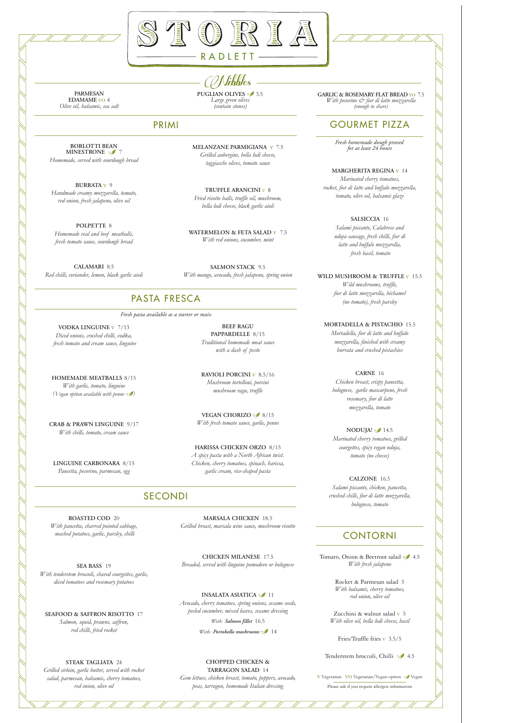



RADLETT

## GOURMET PIZZA

*Fresh homemade dough proved for at least 24 hours*

**MARGHERITA REGINA** v 14 *Marinated cherry tomatoes, rocket, fior di latte and buffalo mozzarella, tomato, olive oil, balsamic glaze*

> **SALSICCIA** 16 *Salami piccante, Calabrese and nduja sausage, fresh chilli, fior di latte and buffalo mozzarella, fresh basil, tomato*

**WILD MUSHROOM & TRUFFLE** v 15.5

**NODUJA!** 14.5 *Marinated cherry tomatoes, grilled courgettes, spicy vegan nduja, tomato (no cheese)*

*Wild mushrooms, truffle, fior di latte mozzarella, béchamel (no tomato), fresh parsley*

**MORTADELLA & PISTACHIO** 15.5 *Mortadella, fior di latte and buffalo*

Tomato, Onion & Beetroot salad \$ 4.5 *With fresh jalapeno*

*mozzarella, finished with creamy burrata and crushed pistachios*

**CARNE** 16 *Chicken breast, crispy pancetta, bolognese, garlic mascarpone, fresh rosemary, fior di latte mozzarella, tomato*

**CALZONE** 16.5 *Salami piccante, chicken, pancetta, crushed chilli, fior di latte mozzarella, bolognese, tomato*

### CONTORNI

Rocket & Parmesan salad 5 *With balsamic, cherry tomatoes, red onion, olive oil*

Zucchini & walnut salad v 5 *With olive oil, bella lodi cheese, basil*

Fries/Truffle fries  $v$  3.5/5

Tenderstem broccoli, Chilli 14.5

V Vegetarian VO Vegetarian/Vegan option Vegan

Please ask if you require allergen information

**BORLOTTI BEAN MINESTRONE** 27 *Homemade, served with sourdough bread*

**BURRATA** v 9 *Handmade creamy mozzarella, tomato, red onion, fresh jalapeno, olive oil*

**POLPETTE** 8 *Homemade veal and beef meatballs, fresh tomato sauce, sourdough bread*

**CALAMARI** 8.5 *Red chilli, coriander, lemon, black garlic aioli* **MELANZANE PARMIGIANA** v 7.5 *Grilled aubergine, bella lodi cheese, taggiasche olives, tomato sauce*

**TRUFFLE ARANCINI** v 8 *Fried risotto balls, truffle oil, mushroom, bella lodi cheese, black garlic aioli*

**WATERMELON & FETA SALAD** v 7.5 *With red onions, cucumber, mint*

**PUGLIAN OLIVES**  $\bullet$  3.5 **GARLIC** & **ROSEMARY FLAT BREAD** vo 7.5 *Large green olives* 3.5 *With pecorino*  $\infty$  *for di latte mozzarella With pecorino & fior di latte mozzarella (enough to share)*

 $-$  *( Nibbles*  $-$  puglian olives  $\frac{3.5}{3.5}$ *Large green olives (contain stones)*

**SALMON STACK** 9.5 *With mango, avocado, fresh jalapeno, spring onion*

### PRIMI

**VODKA LINGUINE** v 7/13 *Diced onions, crushed chilli, vodka, fresh tomato and cream sauce, linguine*

**HOMEMADE MEATBALLS** 8/15 *With garlic, tomato, linguine (Vegan option available with penne )*

**CRAB & PRAWN LINGUINE** 9/17 *With chilli, tomato, cream sauce*

**LINGUINE CARBONARA** 8/15 *Pancetta, pecorino, parmesan, egg*

**BEEF RAGU PAPPARDELLE** 8/15 *Traditional homemade meat sauce with a dash of pesto*

**RAVIOLI PORCINI** v 8.5/16 *Mushroom tortelloni, porcini mushroom ragu, truffle*

**VEGAN CHORIZO** 8/15 *With fresh tomato sauce, garlic, penne*

**HARISSA CHICKEN ORZO** 8/15 *A spicy pasta with a North African twist. Chicken, cherry tomatoes, spinach, harissa, garlic cream, rice-shaped pasta*

## PASTA FRESCA

*Fresh pasta available as a starter or main*

**ROASTED COD** 20

*With pancetta, charred pointed cabbage, mashed potatoes, garlic, parsley, chilli*

**SEA BASS** 19 *With tenderstem broccoli, shaved courgettes, garlic, diced tomatoes and rosemary potatoes*

#### **SEAFOOD & SAFFRON RISOTTO** 17

*Salmon, squid, prawns, saffron, red chilli, fried rocket*

**STEAK TAGLIATA** 24

*Grilled sirloin, garlic butter, served with rocket salad, parmesan, balsamic, cherry tomatoes, red onion, olive oil*

**MARSALA CHICKEN** 18.5 *Grilled breast, marsala wine sauce, mushroom risotto*

**CHICKEN MILANESE** 17.5 *Breaded, served with linguine pomodoro or bolognese*

#### **INSALATA ASIATICA** 11

*Avocado, cherry tomatoes, spring onions, sesame seeds, peeled cucumber, mixed leaves, sesame dressing*

*With: Salmon fillet* 16.5

*With: Portobello mushrooms* 14

#### **CHOPPED CHICKEN & TARRAGON SALAD** 14

*Gem lettuce, chicken breast, tomato, peppers, avocado, peas, tarragon, homemade Italian dressing*

## SECONDI

**PARMESAN EDAMAME** vo 4 *Olive oil, balsamic, sea salt*